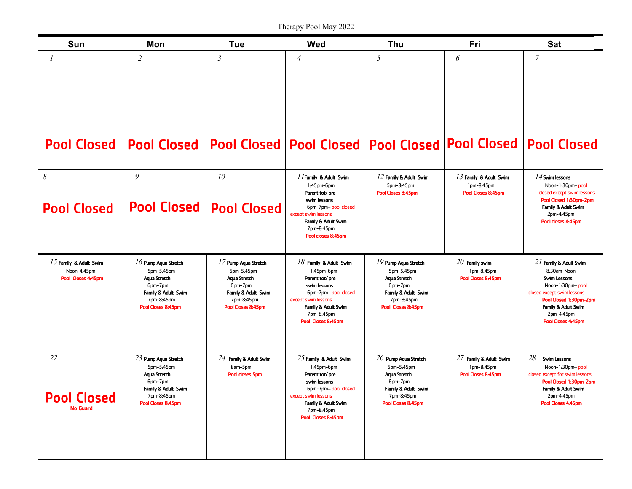| Sun                                                           | Mon                                                                                                                        | <b>Tue</b>                                                                                                                 | Wed                                                                                                                                                                                      | Thu                                                                                                                        | Fri                                                            | <b>Sat</b>                                                                                                                                                                                            |
|---------------------------------------------------------------|----------------------------------------------------------------------------------------------------------------------------|----------------------------------------------------------------------------------------------------------------------------|------------------------------------------------------------------------------------------------------------------------------------------------------------------------------------------|----------------------------------------------------------------------------------------------------------------------------|----------------------------------------------------------------|-------------------------------------------------------------------------------------------------------------------------------------------------------------------------------------------------------|
| $\boldsymbol{l}$<br><b>Pool Closed</b>                        | $\overline{2}$                                                                                                             | $\mathfrak{Z}$<br>Pool Closed   Pool Closed   Pool Closed   Pool Closed   Pool Closed                                      | $\overline{4}$                                                                                                                                                                           | 5                                                                                                                          | 6                                                              | $\mathcal{I}$<br><b>Pool Closed</b>                                                                                                                                                                   |
| $\boldsymbol{\delta}$<br><b>Pool Closed</b>                   | 9<br><b>Pool Closed</b>                                                                                                    | 10<br><b>Pool Closed</b>                                                                                                   | //Family & Adult Swim<br>$1:45$ pm- $6$ pm<br>Parent tot/pre<br>swim lessons<br>6pm-7pm-pool closed<br>except swim lessons<br>Family & Adult Swim<br>7pm-8:45pm<br>Pool closes 8:45pm    | $12$ Family & Adult Swim<br>5pm-8:45pm<br>Pool Closes 8:45pm                                                               | $13$ Family & Adult Swim<br>1pm-8:45pm<br>Pool Closes 8:45pm   | $14$ Swim lessons<br>Noon-1:30pm-pool<br>closed except swim lessons<br>Pool Closed 1:30pm-2pm<br>Family & Adult Swim<br>2pm-4:45pm<br>Pool closes 4:45pm                                              |
| $15$ Family & Adult Swim<br>Noon-4:45pm<br>Pool Closes 4:45pm | $16$ Pump Aqua Stretch<br>5pm-5:45pm<br>Aqua Stretch<br>6pm-7pm<br>Family & Adult Swim<br>7pm-8:45pm<br>Pool Closes 8:45pm | $17$ Pump Aqua Stretch<br>5pm-5:45pm<br>Aqua Stretch<br>6pm-7pm<br>Family & Adult Swim<br>7pm-8:45pm<br>Pool Closes 8:45pm | $18$ Family & Adult Swim<br>$1:45$ pm- $6$ pm<br>Parent tot/pre<br>swim lessons<br>6pm-7pm-pool closed<br>except swim lessons<br>Family & Adult Swim<br>7pm-8:45pm<br>Pool Closes 8:45pm | $19$ Pump Aqua Stretch<br>5pm-5:45pm<br>Aqua Stretch<br>6pm-7pm<br>Family & Adult Swim<br>7pm-8:45pm<br>Pool Closes 8:45pm | $20\,$ Family swim<br>1pm-8:45pm<br>Pool Closes 8:45pm         | $21$ Family & Adult Swim<br>8:30am-Noon<br><b>Swim Lessons</b><br>Noon-1:30pm-pool<br>closed except swim lessons<br>Pool Closed 1:30pm-2pm<br>Family & Adult Swim<br>2pm-4:45pm<br>Pool Closes 4:45pm |
| 22<br><b>Pool Closed</b><br><b>No Guard</b>                   | $23$ Pump Aqua Stretch<br>5pm-5:45pm<br>Aqua Stretch<br>6pm-7pm<br>Family & Adult Swim<br>7pm-8:45pm<br>Pool Closes 8:45pm | $24$ Family & Adult Swim<br>8am-5pm<br>Pool closes 5pm                                                                     | $25$ Family & Adult Swim<br>$1:45$ pm- $6$ pm<br>Parent tot/pre<br>swim lessons<br>6pm-7pm-pool closed<br>except swim lessons<br>Family & Adult Swim<br>7pm-8:45pm<br>Pool Closes 8:45pm | $26$ Pump Aqua Stretch<br>5pm-5:45pm<br>Aqua Stretch<br>6pm-7pm<br>Family & Adult Swim<br>7pm-8:45pm<br>Pool Closes 8:45pm | $27\,$ Family & Adult Swim<br>1pm-8:45pm<br>Pool Closes 8:45pm | 28<br>Swim Lessons<br>Noon-1:30pm-pool<br>closed except for swim lessons<br>Pool Closed 1:30pm-2pm<br>Family & Adult Swim<br>2pm-4:45pm<br>Pool Closes 4:45pm                                         |